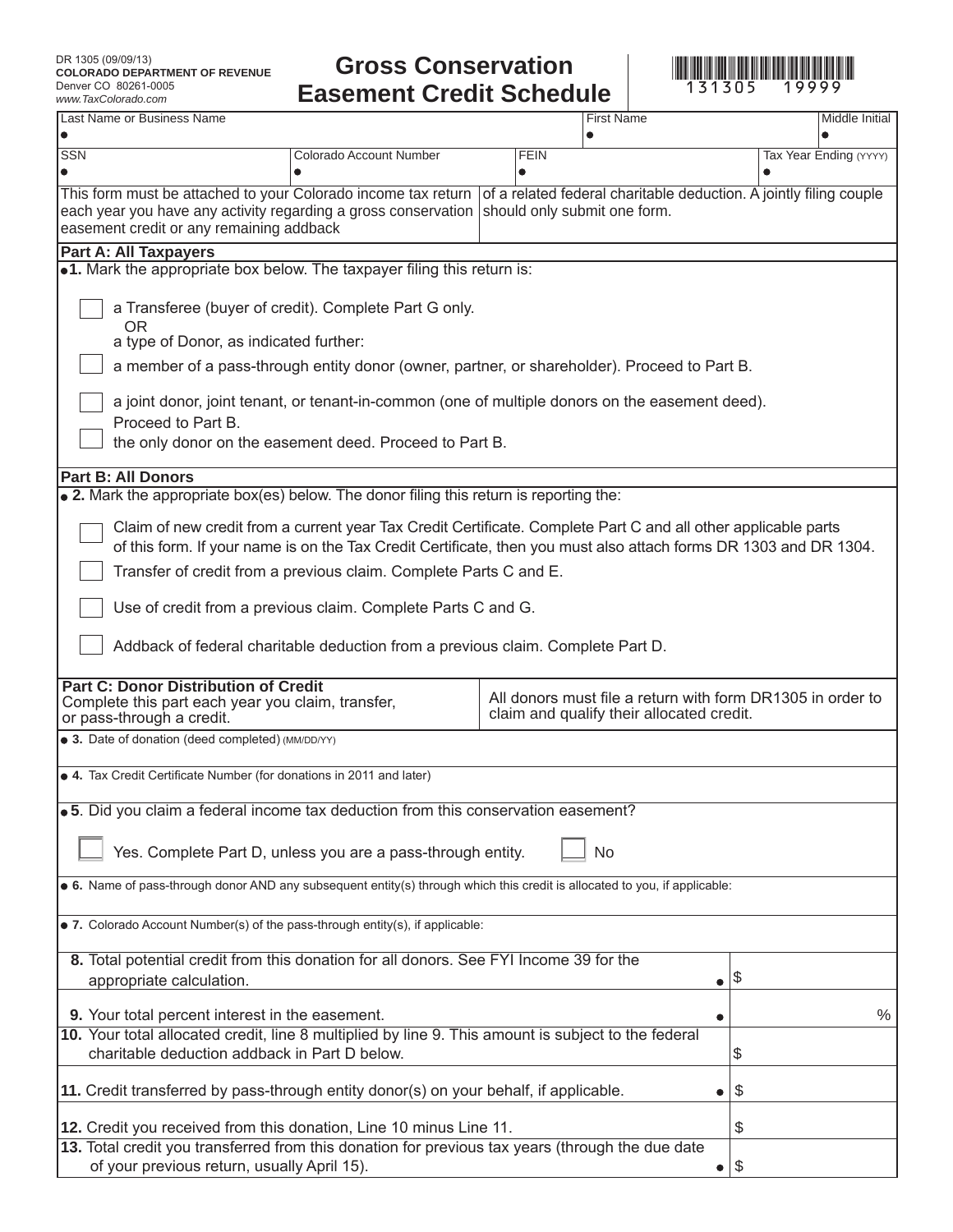## **Gross Conservation <br>sement Credit Schedule** 131305 19999 **Easement Credit Schedule**



| www.1axColorado.com                                                                                                                                                                                                                 |                                                                                                                                                                                                                                 | an Julian                                                                                               |           |                        |  |
|-------------------------------------------------------------------------------------------------------------------------------------------------------------------------------------------------------------------------------------|---------------------------------------------------------------------------------------------------------------------------------------------------------------------------------------------------------------------------------|---------------------------------------------------------------------------------------------------------|-----------|------------------------|--|
| Last Name or Business Name                                                                                                                                                                                                          |                                                                                                                                                                                                                                 | <b>First Name</b>                                                                                       |           | Middle Initial         |  |
| <b>SSN</b>                                                                                                                                                                                                                          | Colorado Account Number                                                                                                                                                                                                         | <b>FEIN</b>                                                                                             |           | Tax Year Ending (YYYY) |  |
| easement credit or any remaining addback                                                                                                                                                                                            | This form must be attached to your Colorado income tax return of a related federal charitable deduction. A jointly filing couple<br>each year you have any activity regarding a gross conservation should only submit one form. |                                                                                                         |           |                        |  |
| <b>Part A: All Taxpayers</b>                                                                                                                                                                                                        |                                                                                                                                                                                                                                 |                                                                                                         |           |                        |  |
|                                                                                                                                                                                                                                     | •1. Mark the appropriate box below. The taxpayer filing this return is:                                                                                                                                                         |                                                                                                         |           |                        |  |
| OR                                                                                                                                                                                                                                  | a Transferee (buyer of credit). Complete Part G only.<br>a type of Donor, as indicated further:                                                                                                                                 |                                                                                                         |           |                        |  |
|                                                                                                                                                                                                                                     | a member of a pass-through entity donor (owner, partner, or shareholder). Proceed to Part B.                                                                                                                                    |                                                                                                         |           |                        |  |
| Proceed to Part B.                                                                                                                                                                                                                  | a joint donor, joint tenant, or tenant-in-common (one of multiple donors on the easement deed).<br>the only donor on the easement deed. Proceed to Part B.                                                                      |                                                                                                         |           |                        |  |
| <b>Part B: All Donors</b>                                                                                                                                                                                                           |                                                                                                                                                                                                                                 |                                                                                                         |           |                        |  |
|                                                                                                                                                                                                                                     | • 2. Mark the appropriate box(es) below. The donor filing this return is reporting the:                                                                                                                                         |                                                                                                         |           |                        |  |
| Claim of new credit from a current year Tax Credit Certificate. Complete Part C and all other applicable parts<br>of this form. If your name is on the Tax Credit Certificate, then you must also attach forms DR 1303 and DR 1304. |                                                                                                                                                                                                                                 |                                                                                                         |           |                        |  |
|                                                                                                                                                                                                                                     | Transfer of credit from a previous claim. Complete Parts C and E.                                                                                                                                                               |                                                                                                         |           |                        |  |
|                                                                                                                                                                                                                                     | Use of credit from a previous claim. Complete Parts C and G.                                                                                                                                                                    |                                                                                                         |           |                        |  |
|                                                                                                                                                                                                                                     | Addback of federal charitable deduction from a previous claim. Complete Part D.                                                                                                                                                 |                                                                                                         |           |                        |  |
| <b>Part C: Donor Distribution of Credit</b><br>or pass-through a credit.                                                                                                                                                            | Complete this part each year you claim, transfer,                                                                                                                                                                               | All donors must file a return with form DR1305 in order to<br>claim and qualify their allocated credit. |           |                        |  |
| • 3. Date of donation (deed completed) (MM/DD/YY)                                                                                                                                                                                   |                                                                                                                                                                                                                                 |                                                                                                         |           |                        |  |
|                                                                                                                                                                                                                                     | • 4. Tax Credit Certificate Number (for donations in 2011 and later)                                                                                                                                                            |                                                                                                         |           |                        |  |
| .5. Did you claim a federal income tax deduction from this conservation easement?                                                                                                                                                   |                                                                                                                                                                                                                                 |                                                                                                         |           |                        |  |
| Yes. Complete Part D, unless you are a pass-through entity.<br><b>No</b>                                                                                                                                                            |                                                                                                                                                                                                                                 |                                                                                                         |           |                        |  |
| • 6. Name of pass-through donor AND any subsequent entity(s) through which this credit is allocated to you, if applicable:                                                                                                          |                                                                                                                                                                                                                                 |                                                                                                         |           |                        |  |
|                                                                                                                                                                                                                                     | • 7. Colorado Account Number(s) of the pass-through entity(s), if applicable:                                                                                                                                                   |                                                                                                         |           |                        |  |
|                                                                                                                                                                                                                                     | 8. Total potential credit from this donation for all donors. See FYI Income 39 for the                                                                                                                                          |                                                                                                         |           |                        |  |
| appropriate calculation.                                                                                                                                                                                                            |                                                                                                                                                                                                                                 |                                                                                                         | $\bullet$ | \$                     |  |
|                                                                                                                                                                                                                                     | 9. Your total percent interest in the easement.                                                                                                                                                                                 |                                                                                                         |           | $\%$                   |  |
|                                                                                                                                                                                                                                     | 10. Your total allocated credit, line 8 multiplied by line 9. This amount is subject to the federal                                                                                                                             |                                                                                                         |           |                        |  |
| charitable deduction addback in Part D below.                                                                                                                                                                                       | \$                                                                                                                                                                                                                              |                                                                                                         |           |                        |  |
|                                                                                                                                                                                                                                     | 11. Credit transferred by pass-through entity donor(s) on your behalf, if applicable.                                                                                                                                           |                                                                                                         | $\bullet$ | \$                     |  |
|                                                                                                                                                                                                                                     | 12. Credit you received from this donation, Line 10 minus Line 11.                                                                                                                                                              |                                                                                                         |           | \$                     |  |
|                                                                                                                                                                                                                                     | 13. Total credit you transferred from this donation for previous tax years (through the due date<br>of your previous return, usually April 15).                                                                                 |                                                                                                         | $\bullet$ | \$                     |  |